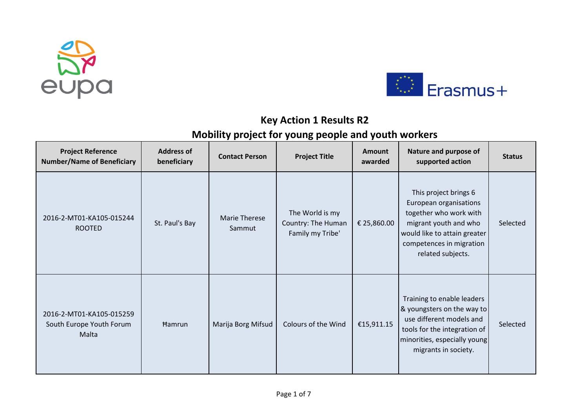



## **Key Action 1 Results R2**

## **Mobility project for young people and youth workers**

| <b>Project Reference</b><br><b>Number/Name of Beneficiary</b> | <b>Address of</b><br>beneficiary | <b>Contact Person</b>          | <b>Project Title</b>                                      | <b>Amount</b><br>awarded | Nature and purpose of<br>supported action                                                                                                                                           | <b>Status</b> |
|---------------------------------------------------------------|----------------------------------|--------------------------------|-----------------------------------------------------------|--------------------------|-------------------------------------------------------------------------------------------------------------------------------------------------------------------------------------|---------------|
| 2016-2-MT01-KA105-015244<br><b>ROOTED</b>                     | St. Paul's Bay                   | <b>Marie Therese</b><br>Sammut | The World is my<br>Country: The Human<br>Family my Tribe' | € 25,860.00              | This project brings 6<br>European organisations<br>together who work with<br>migrant youth and who<br>would like to attain greater<br>competences in migration<br>related subjects. | Selected      |
| 2016-2-MT01-KA105-015259<br>South Europe Youth Forum<br>Malta | <b>Hamrun</b>                    | Marija Borg Mifsud             | Colours of the Wind                                       | €15,911.15               | Training to enable leaders<br>& youngsters on the way to<br>use different models and<br>tools for the integration of<br>minorities, especially young<br>migrants in society.        | Selected      |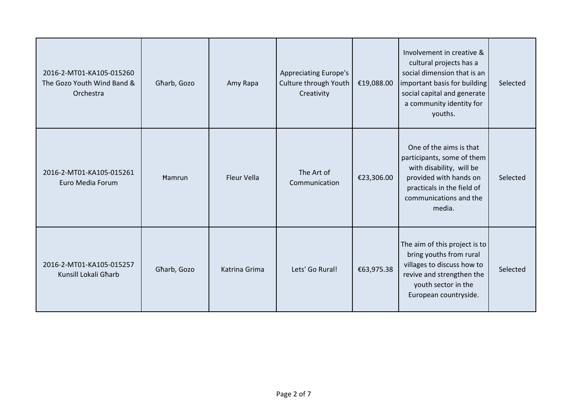| 2016-2-MT01-KA105-015260<br>The Gozo Youth Wind Band &<br>Orchestra | Gharb, Gozo   | Amy Rapa      | <b>Appreciating Europe's</b><br>Culture through Youth<br>Creativity | €19,088.00 | Involvement in creative &<br>cultural projects has a<br>social dimension that is an<br>important basis for building<br>social capital and generate<br>a community identity for<br>youths. | Selected |
|---------------------------------------------------------------------|---------------|---------------|---------------------------------------------------------------------|------------|-------------------------------------------------------------------------------------------------------------------------------------------------------------------------------------------|----------|
| 2016-2-MT01-KA105-015261<br>Euro Media Forum                        | <b>Hamrun</b> | Fleur Vella   | The Art of<br>Communication                                         | €23,306.00 | One of the aims is that<br>participants, some of them<br>with disability, will be<br>provided with hands on<br>practicals in the field of<br>communications and the<br>media.             | Selected |
| 2016-2-MT01-KA105-015257<br>Kunsill Lokali Gharb                    | Gharb, Gozo   | Katrina Grima | Lets' Go Rural!                                                     | €63,975.38 | The aim of this project is to<br>bring youths from rural<br>villages to discuss how to<br>revive and strengthen the<br>youth sector in the<br>European countryside.                       | Selected |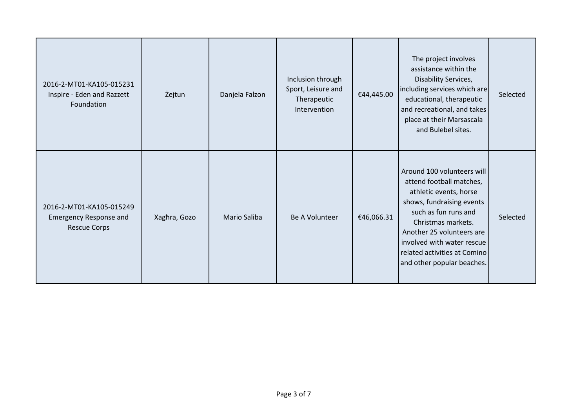| 2016-2-MT01-KA105-015231<br>Inspire - Eden and Razzett<br>Foundation      | Żejtun       | Danjela Falzon      | Inclusion through<br>Sport, Leisure and<br>Therapeutic<br>Intervention | €44,445.00 | The project involves<br>assistance within the<br>Disability Services,<br>including services which are<br>educational, therapeutic<br>and recreational, and takes<br>place at their Marsascala<br>and Bulebel sites.                                                                  | Selected |
|---------------------------------------------------------------------------|--------------|---------------------|------------------------------------------------------------------------|------------|--------------------------------------------------------------------------------------------------------------------------------------------------------------------------------------------------------------------------------------------------------------------------------------|----------|
| 2016-2-MT01-KA105-015249<br>Emergency Response and<br><b>Rescue Corps</b> | Xaghra, Gozo | <b>Mario Saliba</b> | Be A Volunteer                                                         | €46,066.31 | Around 100 volunteers will<br>attend football matches,<br>athletic events, horse<br>shows, fundraising events<br>such as fun runs and<br>Christmas markets.<br>Another 25 volunteers are<br>involved with water rescue<br>related activities at Comino<br>and other popular beaches. | Selected |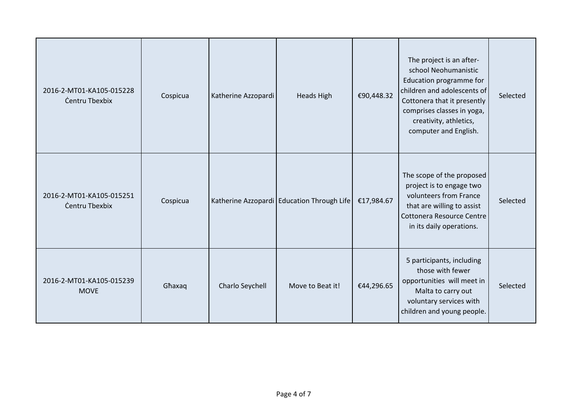| 2016-2-MT01-KA105-015228<br>Centru Tbexbix | Cospicua | Katherine Azzopardi | <b>Heads High</b>                            | €90,448.32 | The project is an after-<br>school Neohumanistic<br>Education programme for<br>children and adolescents of<br>Cottonera that it presently<br>comprises classes in yoga,<br>creativity, athletics,<br>computer and English. | Selected |
|--------------------------------------------|----------|---------------------|----------------------------------------------|------------|----------------------------------------------------------------------------------------------------------------------------------------------------------------------------------------------------------------------------|----------|
| 2016-2-MT01-KA105-015251<br>Centru Tbexbix | Cospicua |                     | Katherine Azzopardi   Education Through Life | €17,984.67 | The scope of the proposed<br>project is to engage two<br>volunteers from France<br>that are willing to assist<br>Cottonera Resource Centre<br>in its daily operations.                                                     | Selected |
| 2016-2-MT01-KA105-015239<br><b>MOVE</b>    | Ghaxaq   | Charlo Seychell     | Move to Beat it!                             | €44,296.65 | 5 participants, including<br>those with fewer<br>opportunities will meet in<br>Malta to carry out<br>voluntary services with<br>children and young people.                                                                 | Selected |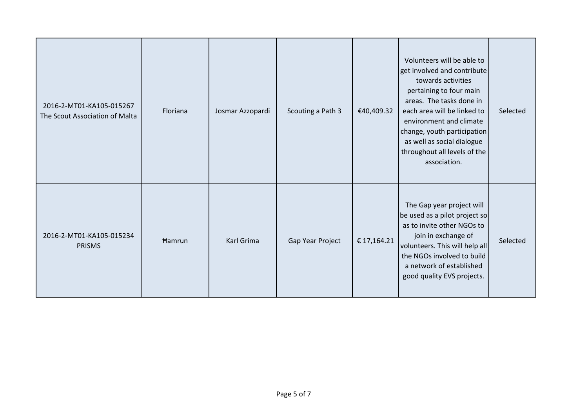| 2016-2-MT01-KA105-015267<br>The Scout Association of Malta | Floriana | Josmar Azzopardi | Scouting a Path 3 | €40,409.32  | Volunteers will be able to<br>get involved and contribute<br>towards activities<br>pertaining to four main<br>areas. The tasks done in<br>each area will be linked to<br>environment and climate<br>change, youth participation<br>as well as social dialogue<br>throughout all levels of the<br>association. | Selected |
|------------------------------------------------------------|----------|------------------|-------------------|-------------|---------------------------------------------------------------------------------------------------------------------------------------------------------------------------------------------------------------------------------------------------------------------------------------------------------------|----------|
| 2016-2-MT01-KA105-015234<br><b>PRISMS</b>                  | Hamrun   | Karl Grima       | Gap Year Project  | € 17,164.21 | The Gap year project will<br>be used as a pilot project so<br>as to invite other NGOs to<br>join in exchange of<br>volunteers. This will help all<br>the NGOs involved to build<br>a network of established<br>good quality EVS projects.                                                                     | Selected |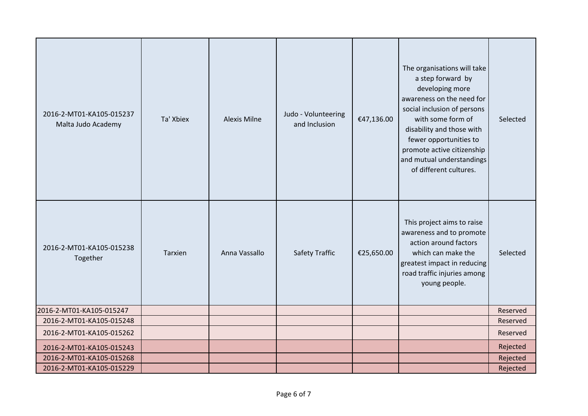| 2016-2-MT01-KA105-015237<br>Malta Judo Academy | Ta' Xbiex | <b>Alexis Milne</b> | Judo - Volunteering<br>and Inclusion | €47,136.00 | The organisations will take<br>a step forward by<br>developing more<br>awareness on the need for<br>social inclusion of persons<br>with some form of<br>disability and those with<br>fewer opportunities to<br>promote active citizenship<br>and mutual understandings<br>of different cultures. | Selected |
|------------------------------------------------|-----------|---------------------|--------------------------------------|------------|--------------------------------------------------------------------------------------------------------------------------------------------------------------------------------------------------------------------------------------------------------------------------------------------------|----------|
| 2016-2-MT01-KA105-015238<br>Together           | Tarxien   | Anna Vassallo       | <b>Safety Traffic</b>                | €25,650.00 | This project aims to raise<br>awareness and to promote<br>action around factors<br>which can make the<br>greatest impact in reducing<br>road traffic injuries among<br>young people.                                                                                                             | Selected |
| 2016-2-MT01-KA105-015247                       |           |                     |                                      |            |                                                                                                                                                                                                                                                                                                  | Reserved |
| 2016-2-MT01-KA105-015248                       |           |                     |                                      |            |                                                                                                                                                                                                                                                                                                  | Reserved |
| 2016-2-MT01-KA105-015262                       |           |                     |                                      |            |                                                                                                                                                                                                                                                                                                  | Reserved |
| 2016-2-MT01-KA105-015243                       |           |                     |                                      |            |                                                                                                                                                                                                                                                                                                  | Rejected |
| 2016-2-MT01-KA105-015268                       |           |                     |                                      |            |                                                                                                                                                                                                                                                                                                  | Rejected |
| 2016-2-MT01-KA105-015229                       |           |                     |                                      |            |                                                                                                                                                                                                                                                                                                  | Rejected |